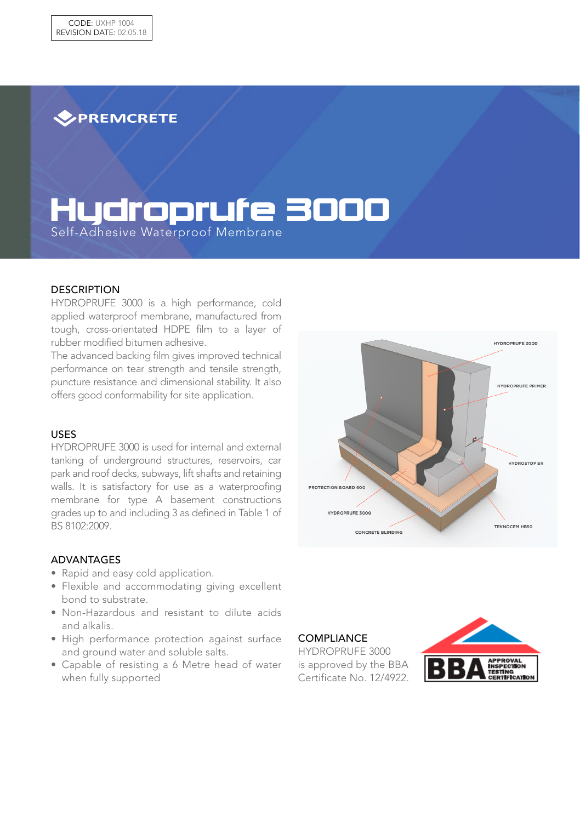**>PREMCRETE** 

# Hydroprufe 3000

Self-Adhesive Waterproof Membrane

#### **DESCRIPTION**

HYDROPRUFE 3000 is a high performance, cold applied waterproof membrane, manufactured from tough, cross-orientated HDPE film to a layer of rubber modified bitumen adhesive.

The advanced backing film gives improved technical performance on tear strength and tensile strength, puncture resistance and dimensional stability. It also offers good conformability for site application.

### USES

HYDROPRUFE 3000 is used for internal and external tanking of underground structures, reservoirs, car park and roof decks, subways, lift shafts and retaining walls. It is satisfactory for use as a waterproofing membrane for type A basement constructions grades up to and including 3 as defined in Table 1 of BS 8102:2009.

#### ADVANTAGES

- Rapid and easy cold application.
- Flexible and accommodating giving excellent bond to substrate.
- Non-Hazardous and resistant to dilute acids and alkalis.
- High performance protection against surface and ground water and soluble salts.
- Capable of resisting a 6 Metre head of water when fully supported



**COMPLIANCE** 

HYDROPRUFE 3000 is approved by the BBA Certificate No. 12/4922.

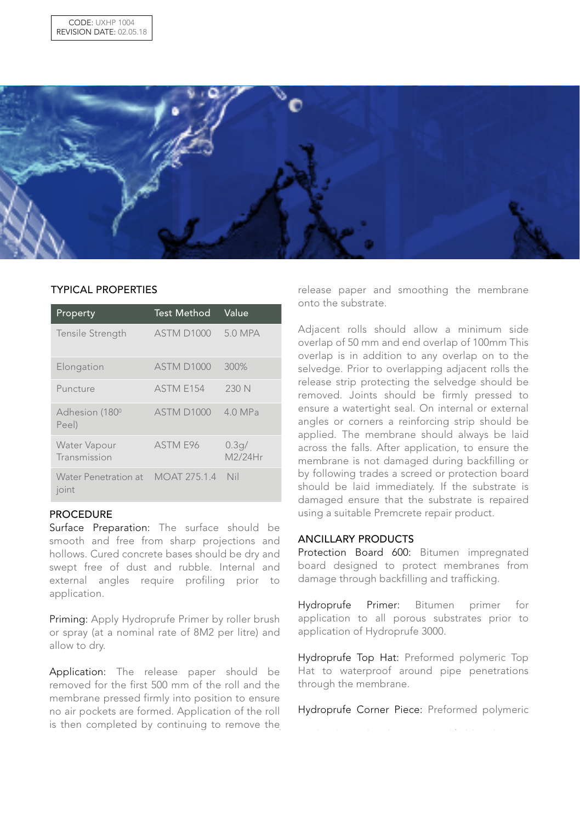

## TYPICAL PROPERTIES

| Property                            | <b>Test Method</b> | Value            |
|-------------------------------------|--------------------|------------------|
| Tensile Strength                    | <b>ASTM D1000</b>  | 5.0 MPA          |
| Elongation                          | <b>ASTM D1000</b>  | 300%             |
| Puncture                            | ASTM E154          | 230 N            |
| Adhesion (180 <sup>°</sup><br>Peel) | <b>ASTM D1000</b>  | 4.0 MPa          |
| Water Vapour<br>Transmission        | ASTM E96           | 0.3q/<br>M2/24Hr |
| Water Penetration at<br>joint       | MOAT 275.1.4 Nil   |                  |

## PROCEDURE

Surface Preparation: The surface should be smooth and free from sharp projections and hollows. Cured concrete bases should be dry and swept free of dust and rubble. Internal and external angles require profiling prior to application.

Priming: Apply Hydroprufe Primer by roller brush or spray (at a nominal rate of 8M2 per litre) and allow to dry.

Application: The release paper should be removed for the first 500 mm of the roll and the membrane pressed firmly into position to ensure no air pockets are formed. Application of the roll is then completed by continuing to remove the

release paper and smoothing the membrane onto the substrate.

Adjacent rolls should allow a minimum side overlap of 50 mm and end overlap of 100mm This overlap is in addition to any overlap on to the selvedge. Prior to overlapping adjacent rolls the release strip protecting the selvedge should be removed. Joints should be firmly pressed to ensure a watertight seal. On internal or external angles or corners a reinforcing strip should be applied. The membrane should always be laid across the falls. After application, to ensure the membrane is not damaged during backfilling or by following trades a screed or protection board should be laid immediately. If the substrate is damaged ensure that the substrate is repaired using a suitable Premcrete repair product.

#### ANCILLARY PRODUCTS

Protection Board 600: Bitumen impregnated board designed to protect membranes from damage through backfilling and trafficking.

Hydroprufe Primer: Bitumen primer for application to all porous substrates prior to application of Hydroprufe 3000.

Hydroprufe Top Hat: Preformed polymeric Top Hat to waterproof around pipe penetrations through the membrane.

Hydroprufe Corner Piece: Preformed polymeric